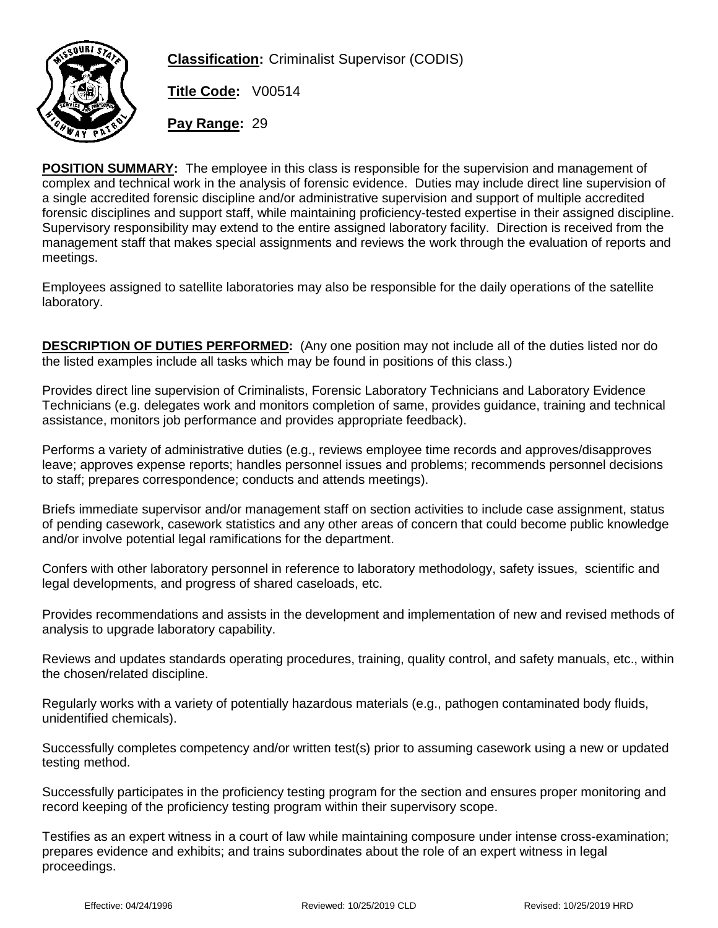

**Classification:** Criminalist Supervisor (CODIS)

**Title Code:** V00514

**Pay Range:** 29

**POSITION SUMMARY:** The employee in this class is responsible for the supervision and management of complex and technical work in the analysis of forensic evidence. Duties may include direct line supervision of a single accredited forensic discipline and/or administrative supervision and support of multiple accredited forensic disciplines and support staff, while maintaining proficiency-tested expertise in their assigned discipline. Supervisory responsibility may extend to the entire assigned laboratory facility. Direction is received from the management staff that makes special assignments and reviews the work through the evaluation of reports and meetings.

Employees assigned to satellite laboratories may also be responsible for the daily operations of the satellite laboratory.

**DESCRIPTION OF DUTIES PERFORMED:** (Any one position may not include all of the duties listed nor do the listed examples include all tasks which may be found in positions of this class.)

Provides direct line supervision of Criminalists, Forensic Laboratory Technicians and Laboratory Evidence Technicians (e.g. delegates work and monitors completion of same, provides guidance, training and technical assistance, monitors job performance and provides appropriate feedback).

Performs a variety of administrative duties (e.g., reviews employee time records and approves/disapproves leave; approves expense reports; handles personnel issues and problems; recommends personnel decisions to staff; prepares correspondence; conducts and attends meetings).

Briefs immediate supervisor and/or management staff on section activities to include case assignment, status of pending casework, casework statistics and any other areas of concern that could become public knowledge and/or involve potential legal ramifications for the department.

Confers with other laboratory personnel in reference to laboratory methodology, safety issues, scientific and legal developments, and progress of shared caseloads, etc.

Provides recommendations and assists in the development and implementation of new and revised methods of analysis to upgrade laboratory capability.

Reviews and updates standards operating procedures, training, quality control, and safety manuals, etc., within the chosen/related discipline.

Regularly works with a variety of potentially hazardous materials (e.g., pathogen contaminated body fluids, unidentified chemicals).

Successfully completes competency and/or written test(s) prior to assuming casework using a new or updated testing method.

Successfully participates in the proficiency testing program for the section and ensures proper monitoring and record keeping of the proficiency testing program within their supervisory scope.

Testifies as an expert witness in a court of law while maintaining composure under intense cross-examination; prepares evidence and exhibits; and trains subordinates about the role of an expert witness in legal proceedings.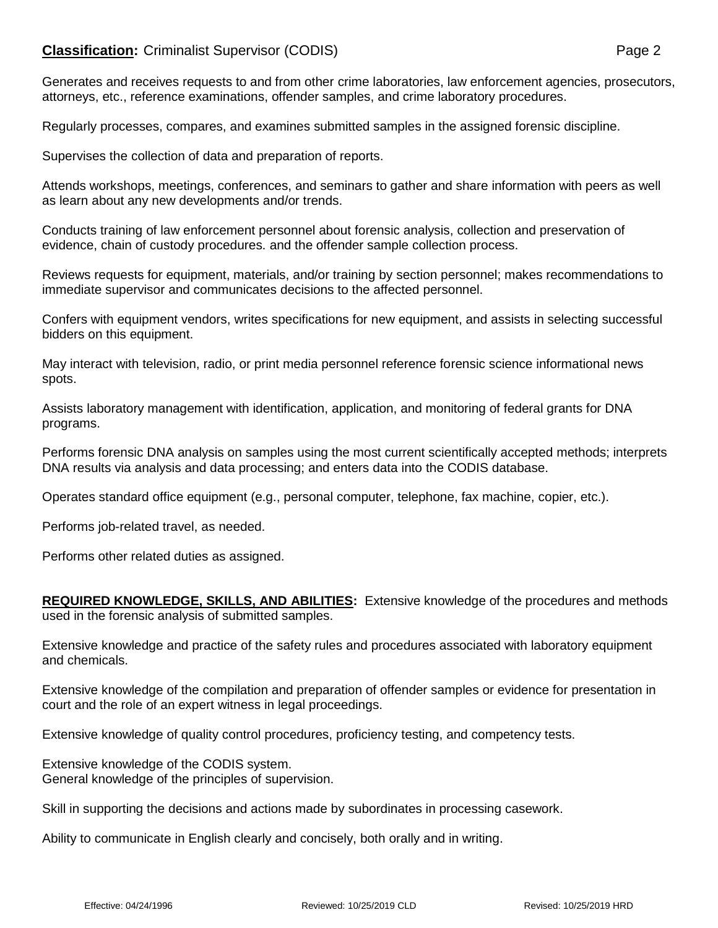# **Classification:** Criminalist Supervisor (CODIS) **Page 2** Page 2

Generates and receives requests to and from other crime laboratories, law enforcement agencies, prosecutors, attorneys, etc., reference examinations, offender samples, and crime laboratory procedures.

Regularly processes, compares, and examines submitted samples in the assigned forensic discipline.

Supervises the collection of data and preparation of reports.

Attends workshops, meetings, conferences, and seminars to gather and share information with peers as well as learn about any new developments and/or trends.

Conducts training of law enforcement personnel about forensic analysis, collection and preservation of evidence, chain of custody procedures. and the offender sample collection process.

Reviews requests for equipment, materials, and/or training by section personnel; makes recommendations to immediate supervisor and communicates decisions to the affected personnel.

Confers with equipment vendors, writes specifications for new equipment, and assists in selecting successful bidders on this equipment.

May interact with television, radio, or print media personnel reference forensic science informational news spots.

Assists laboratory management with identification, application, and monitoring of federal grants for DNA programs.

Performs forensic DNA analysis on samples using the most current scientifically accepted methods; interprets DNA results via analysis and data processing; and enters data into the CODIS database.

Operates standard office equipment (e.g., personal computer, telephone, fax machine, copier, etc.).

Performs job-related travel, as needed.

Performs other related duties as assigned.

**REQUIRED KNOWLEDGE, SKILLS, AND ABILITIES:** Extensive knowledge of the procedures and methods used in the forensic analysis of submitted samples.

Extensive knowledge and practice of the safety rules and procedures associated with laboratory equipment and chemicals.

Extensive knowledge of the compilation and preparation of offender samples or evidence for presentation in court and the role of an expert witness in legal proceedings.

Extensive knowledge of quality control procedures, proficiency testing, and competency tests.

Extensive knowledge of the CODIS system. General knowledge of the principles of supervision.

Skill in supporting the decisions and actions made by subordinates in processing casework.

Ability to communicate in English clearly and concisely, both orally and in writing.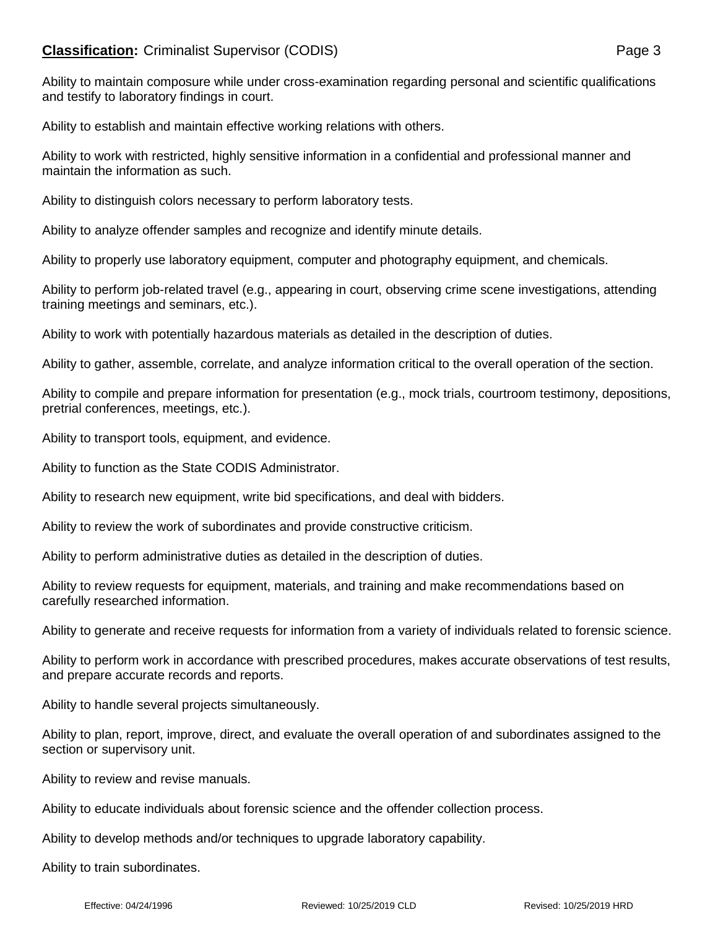# **Classification:** Criminalist Supervisor (CODIS) **Page 3** Page 3

Ability to maintain composure while under cross-examination regarding personal and scientific qualifications and testify to laboratory findings in court.

Ability to establish and maintain effective working relations with others.

Ability to work with restricted, highly sensitive information in a confidential and professional manner and maintain the information as such.

Ability to distinguish colors necessary to perform laboratory tests.

Ability to analyze offender samples and recognize and identify minute details.

Ability to properly use laboratory equipment, computer and photography equipment, and chemicals.

Ability to perform job-related travel (e.g., appearing in court, observing crime scene investigations, attending training meetings and seminars, etc.).

Ability to work with potentially hazardous materials as detailed in the description of duties.

Ability to gather, assemble, correlate, and analyze information critical to the overall operation of the section.

Ability to compile and prepare information for presentation (e.g., mock trials, courtroom testimony, depositions, pretrial conferences, meetings, etc.).

Ability to transport tools, equipment, and evidence.

Ability to function as the State CODIS Administrator.

Ability to research new equipment, write bid specifications, and deal with bidders.

Ability to review the work of subordinates and provide constructive criticism.

Ability to perform administrative duties as detailed in the description of duties.

Ability to review requests for equipment, materials, and training and make recommendations based on carefully researched information.

Ability to generate and receive requests for information from a variety of individuals related to forensic science.

Ability to perform work in accordance with prescribed procedures, makes accurate observations of test results, and prepare accurate records and reports.

Ability to handle several projects simultaneously.

Ability to plan, report, improve, direct, and evaluate the overall operation of and subordinates assigned to the section or supervisory unit.

Ability to review and revise manuals.

Ability to educate individuals about forensic science and the offender collection process.

Ability to develop methods and/or techniques to upgrade laboratory capability.

Ability to train subordinates.